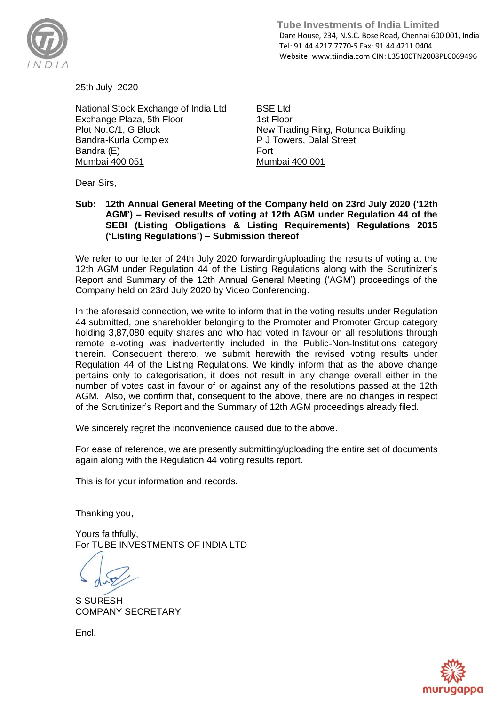

 **Tube Investments of India Limited**  Dare House, 234, N.S.C. Bose Road, Chennai 600 001, India Tel: 91.44.4217 7770-5 Fax: 91.44.4211 0404 Website: www.tiindia.com CIN: L35100TN2008PLC069496

25th July 2020

National Stock Exchange of India Ltd Exchange Plaza, 5th Floor Plot No.C/1, G Block Bandra-Kurla Complex Bandra (E) Mumbai 400 051

BSE Ltd 1st Floor New Trading Ring, Rotunda Building P J Towers, Dalal Street Fort Mumbai 400 001

Dear Sirs,

## **Sub: 12th Annual General Meeting of the Company held on 23rd July 2020 ('12th AGM') – Revised results of voting at 12th AGM under Regulation 44 of the SEBI (Listing Obligations & Listing Requirements) Regulations 2015 ('Listing Regulations') – Submission thereof**

We refer to our letter of 24th July 2020 forwarding/uploading the results of voting at the 12th AGM under Regulation 44 of the Listing Regulations along with the Scrutinizer's Report and Summary of the 12th Annual General Meeting ('AGM') proceedings of the Company held on 23rd July 2020 by Video Conferencing.

In the aforesaid connection, we write to inform that in the voting results under Regulation 44 submitted, one shareholder belonging to the Promoter and Promoter Group category holding 3,87,080 equity shares and who had voted in favour on all resolutions through remote e-voting was inadvertently included in the Public-Non-Institutions category therein. Consequent thereto, we submit herewith the revised voting results under Regulation 44 of the Listing Regulations. We kindly inform that as the above change pertains only to categorisation, it does not result in any change overall either in the number of votes cast in favour of or against any of the resolutions passed at the 12th AGM. Also, we confirm that, consequent to the above, there are no changes in respect of the Scrutinizer's Report and the Summary of 12th AGM proceedings already filed.

We sincerely regret the inconvenience caused due to the above.

For ease of reference, we are presently submitting/uploading the entire set of documents again along with the Regulation 44 voting results report.

This is for your information and records.

Thanking you,

Yours faithfully, For TUBE INVESTMENTS OF INDIA LTD

S SURESH COMPANY SECRETARY

Encl.

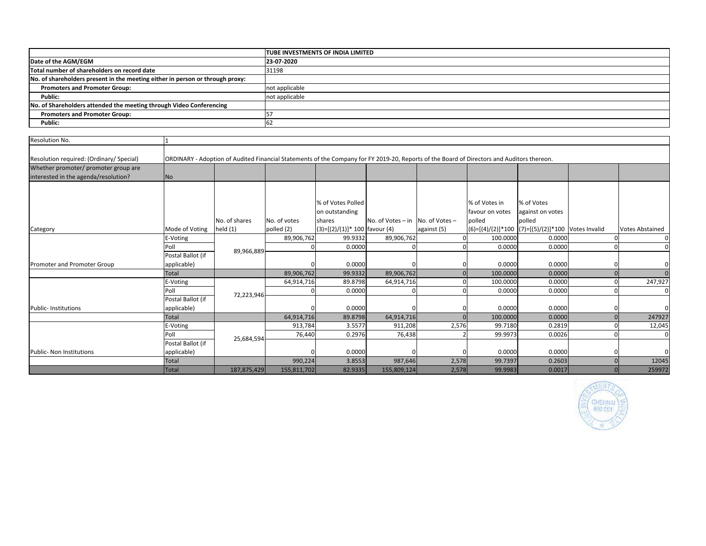|                                                                               | <b>TUBE INVESTMENTS OF INDIA LIMITED</b> |
|-------------------------------------------------------------------------------|------------------------------------------|
| Date of the AGM/EGM                                                           | 23-07-2020                               |
| Total number of shareholders on record date                                   | 31198                                    |
| No. of shareholders present in the meeting either in person or through proxy: |                                          |
| <b>Promoters and Promoter Group:</b>                                          | not applicable                           |
| Public:                                                                       | not applicable                           |
| No. of Shareholders attended the meeting through Video Conferencing           |                                          |
| <b>Promoters and Promoter Group:</b>                                          |                                          |
| Public:                                                                       | 62                                       |

| Resolution No.                           |                   |                                                                                                                                            |              |                                |                                  |             |                 |                                                   |                        |
|------------------------------------------|-------------------|--------------------------------------------------------------------------------------------------------------------------------------------|--------------|--------------------------------|----------------------------------|-------------|-----------------|---------------------------------------------------|------------------------|
|                                          |                   |                                                                                                                                            |              |                                |                                  |             |                 |                                                   |                        |
| Resolution required: (Ordinary/ Special) |                   | ORDINARY - Adoption of Audited Financial Statements of the Company for FY 2019-20, Reports of the Board of Directors and Auditors thereon. |              |                                |                                  |             |                 |                                                   |                        |
| Whether promoter/ promoter group are     |                   |                                                                                                                                            |              |                                |                                  |             |                 |                                                   |                        |
| interested in the agenda/resolution?     | N <sub>O</sub>    |                                                                                                                                            |              |                                |                                  |             |                 |                                                   |                        |
|                                          |                   |                                                                                                                                            |              |                                |                                  |             |                 |                                                   |                        |
|                                          |                   |                                                                                                                                            |              |                                |                                  |             |                 |                                                   |                        |
|                                          |                   |                                                                                                                                            |              | % of Votes Polled              |                                  |             | % of Votes in   | % of Votes                                        |                        |
|                                          |                   |                                                                                                                                            |              | on outstanding                 |                                  |             | favour on votes | against on votes                                  |                        |
|                                          |                   | No. of shares                                                                                                                              | No. of votes | shares                         | No. of Votes - in No. of Votes - |             | polled          | polled                                            |                        |
| Category                                 | Mode of Voting    | held $(1)$                                                                                                                                 | polled (2)   | $(3)=[(2)/(1)]*100$ favour (4) |                                  | against (5) |                 | (6)=[(4)/(2)]*100 (7)=[(5)/(2)]*100 Votes Invalid | <b>Votes Abstained</b> |
|                                          | E-Voting          |                                                                                                                                            | 89,906,762   | 99.9332                        | 89,906,762                       |             | 100.0000        | 0.0000                                            |                        |
|                                          | Poll              |                                                                                                                                            |              | 0.0000                         |                                  |             | 0.0000          | 0.0000                                            | $\Omega$               |
|                                          | Postal Ballot (if | 89,966,889                                                                                                                                 |              |                                |                                  |             |                 |                                                   |                        |
| Promoter and Promoter Group              | applicable)       |                                                                                                                                            |              | 0.0000                         |                                  |             | 0.0000          | 0.0000                                            |                        |
|                                          | Total             |                                                                                                                                            | 89,906,762   | 99.9332                        | 89,906,762                       |             | 100.0000        | 0.0000                                            |                        |
|                                          | E-Voting          |                                                                                                                                            | 64,914,716   | 89.8798                        | 64,914,716                       |             | 100,0000        | 0.0000                                            | 247,927                |
|                                          | Poll              |                                                                                                                                            |              | 0.0000                         |                                  |             | 0.0000          | 0.0000                                            | $\Omega$               |
|                                          | Postal Ballot (if | 72,223,946                                                                                                                                 |              |                                |                                  |             |                 |                                                   |                        |
| <b>Public-Institutions</b>               | applicable)       |                                                                                                                                            |              | 0.0000                         |                                  |             | 0.0000          | 0.0000                                            | 0                      |
|                                          | Total             |                                                                                                                                            | 64,914,716   | 89.8798                        | 64,914,716                       |             | 100.0000        | 0.0000                                            | 247927                 |
|                                          | E-Voting          |                                                                                                                                            | 913,784      | 3.5577                         | 911,208                          | 2,576       | 99.7180         | 0.2819                                            | 12,045                 |
|                                          | Poll              |                                                                                                                                            | 76,440       | 0.2976                         | 76,438                           |             | 99.9973         | 0.0026                                            | $\Omega$               |
|                                          | Postal Ballot (if | 25,684,594                                                                                                                                 |              |                                |                                  |             |                 |                                                   |                        |
| Public- Non Institutions                 | applicable)       |                                                                                                                                            |              | 0.0000                         |                                  |             | 0.0000          | 0.0000                                            |                        |
|                                          | <b>Total</b>      |                                                                                                                                            | 990,224      | 3.8553                         | 987,646                          | 2,578       | 99.7397         | 0.2603                                            | 12045                  |
|                                          | <b>Total</b>      | 187,875,429                                                                                                                                | 155,811,702  | 82.9335                        | 155,809,124                      | 2,578       | 99.9983         | 0.0017                                            | 259972                 |

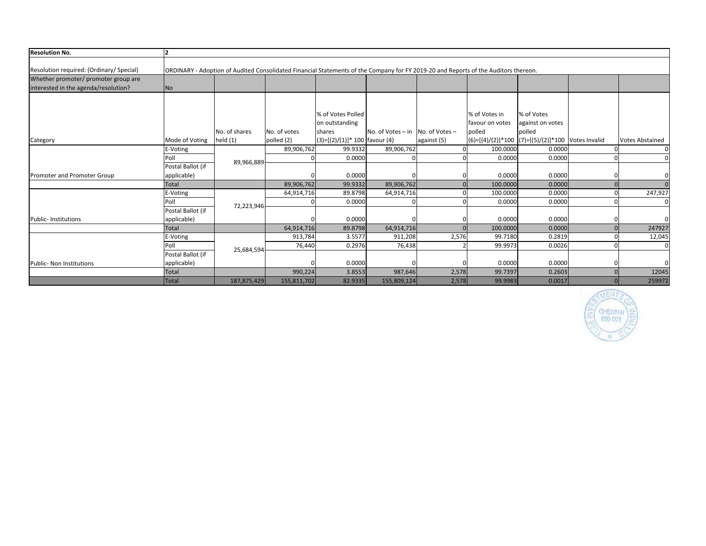| <b>Resolution No.</b>                    |                   |                                                                                                                                     |              |                                |                                      |             |                 |                                                   |                        |
|------------------------------------------|-------------------|-------------------------------------------------------------------------------------------------------------------------------------|--------------|--------------------------------|--------------------------------------|-------------|-----------------|---------------------------------------------------|------------------------|
| Resolution required: (Ordinary/ Special) |                   | ORDINARY - Adoption of Audited Consolidated Financial Statements of the Company for FY 2019-20 and Reports of the Auditors thereon. |              |                                |                                      |             |                 |                                                   |                        |
| Whether promoter/ promoter group are     |                   |                                                                                                                                     |              |                                |                                      |             |                 |                                                   |                        |
| interested in the agenda/resolution?     | No                |                                                                                                                                     |              |                                |                                      |             |                 |                                                   |                        |
|                                          |                   |                                                                                                                                     |              | % of Votes Polled              |                                      |             | % of Votes in   | % of Votes                                        |                        |
|                                          |                   |                                                                                                                                     |              | on outstanding                 |                                      |             | favour on votes | against on votes                                  |                        |
|                                          |                   | No. of shares                                                                                                                       | No. of votes | shares                         | No. of Votes $-$ in No. of Votes $-$ |             | polled          | polled                                            |                        |
| Category                                 | Mode of Voting    | held(1)                                                                                                                             | polled (2)   | $(3)=[(2)/(1)]*100$ favour (4) |                                      | against (5) |                 | (6)=[(4)/(2)]*100 (7)=[(5)/(2)]*100 Votes Invalid | <b>Votes Abstained</b> |
|                                          | E-Voting          |                                                                                                                                     | 89,906,762   | 99.9332                        | 89,906,762                           |             | 100.0000        | 0.0000                                            |                        |
|                                          | Poll              | 89,966,889                                                                                                                          |              | 0.0000                         |                                      |             | 0.0000          | 0.0000                                            |                        |
|                                          | Postal Ballot (if |                                                                                                                                     |              |                                |                                      |             |                 |                                                   |                        |
| Promoter and Promoter Group              | applicable)       |                                                                                                                                     |              | 0.0000                         |                                      |             | 0.0000          | 0.0000                                            |                        |
|                                          | Total             |                                                                                                                                     | 89,906,762   | 99.9332                        | 89,906,762                           |             | 100.0000        | 0.0000                                            | $\Omega$               |
|                                          | E-Voting          |                                                                                                                                     | 64,914,716   | 89.8798                        | 64,914,716                           |             | 100.0000        | 0.0000                                            | 247,927                |
|                                          | Poll              |                                                                                                                                     |              | 0.0000                         |                                      |             | 0.0000          | 0.0000                                            | $\Omega$               |
|                                          | Postal Ballot (if | 72,223,946                                                                                                                          |              |                                |                                      |             |                 |                                                   |                        |
| <b>Public-Institutions</b>               | applicable)       |                                                                                                                                     |              | 0.0000                         |                                      |             | 0.0000          | 0.0000                                            |                        |
|                                          | Total             |                                                                                                                                     | 64,914,716   | 89.8798                        | 64,914,716                           |             | 100.0000        | 0.0000                                            | 247927                 |
|                                          | E-Voting          |                                                                                                                                     | 913,784      | 3.5577                         | 911,208                              | 2,576       | 99.7180         | 0.2819                                            | 12,045                 |
|                                          | Poll              |                                                                                                                                     | 76,440       | 0.2976                         | 76,438                               |             | 99.9973         | 0.0026                                            | $\Omega$               |
|                                          | Postal Ballot (if | 25,684,594                                                                                                                          |              |                                |                                      |             |                 |                                                   |                        |
| Public- Non Institutions                 | applicable)       |                                                                                                                                     |              | 0.0000                         |                                      |             | 0.0000          | 0.0000                                            |                        |
|                                          | Total             |                                                                                                                                     | 990,224      | 3.8553                         | 987,646                              | 2,578       | 99.7397         | 0.2603                                            | 12045                  |
|                                          | <b>Total</b>      | 187,875,429                                                                                                                         | 155,811,702  | 82.9335                        | 155,809,124                          | 2,578       | 99.9983         | 0.0017                                            | 259972                 |

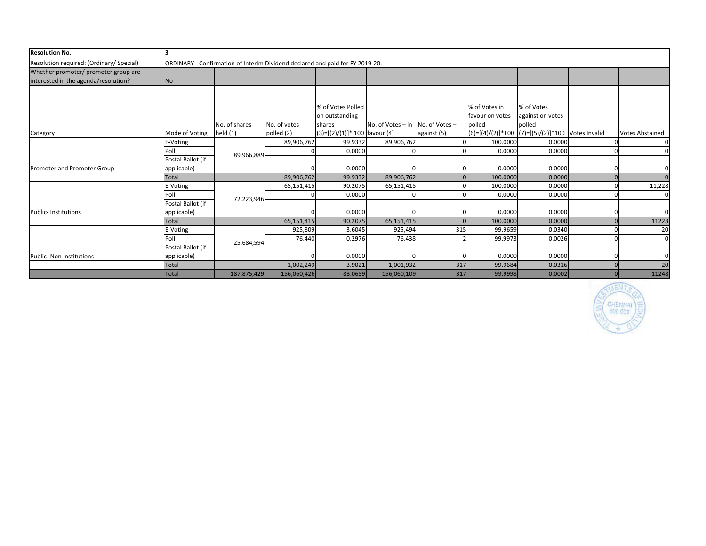| <b>Resolution No.</b>                    |                   |                                                                               |              |                                  |                                      |             |                 |                                                   |                        |
|------------------------------------------|-------------------|-------------------------------------------------------------------------------|--------------|----------------------------------|--------------------------------------|-------------|-----------------|---------------------------------------------------|------------------------|
| Resolution required: (Ordinary/ Special) |                   | ORDINARY - Confirmation of Interim Dividend declared and paid for FY 2019-20. |              |                                  |                                      |             |                 |                                                   |                        |
| Whether promoter/ promoter group are     |                   |                                                                               |              |                                  |                                      |             |                 |                                                   |                        |
| interested in the agenda/resolution?     | No                |                                                                               |              |                                  |                                      |             |                 |                                                   |                        |
|                                          |                   |                                                                               |              |                                  |                                      |             |                 |                                                   |                        |
|                                          |                   |                                                                               |              |                                  |                                      |             |                 |                                                   |                        |
|                                          |                   |                                                                               |              | % of Votes Polled                |                                      |             | % of Votes in   | % of Votes                                        |                        |
|                                          |                   |                                                                               |              | on outstanding                   |                                      |             | favour on votes | against on votes                                  |                        |
|                                          |                   | No. of shares                                                                 | No. of votes | shares                           | No. of Votes $-$ in No. of Votes $-$ |             | polled          | polled                                            |                        |
| Category                                 | Mode of Voting    | held $(1)$                                                                    | polled (2)   | $(3)=[(2)/(1)]$ * 100 favour (4) |                                      | against (5) |                 | (6)=[(4)/(2)]*100 (7)=[(5)/(2)]*100 Votes Invalid | <b>Votes Abstained</b> |
|                                          | E-Voting          |                                                                               | 89,906,762   | 99.9332                          | 89,906,762                           |             | 100.0000        | 0.0000                                            |                        |
|                                          | Poll              |                                                                               |              | 0.0000                           |                                      |             | 0.0000          | 0.0000                                            |                        |
|                                          | Postal Ballot (if | 89,966,889                                                                    |              |                                  |                                      |             |                 |                                                   |                        |
| Promoter and Promoter Group              | applicable)       |                                                                               |              | 0.0000                           |                                      |             | 0.0000          | 0.0000                                            |                        |
|                                          | <b>Total</b>      |                                                                               | 89,906,762   | 99.9332                          | 89,906,762                           |             | 100.0000        | 0.0000                                            | $\Omega$               |
|                                          | E-Voting          |                                                                               | 65,151,415   | 90.2075                          | 65,151,415                           |             | 100.0000        | 0.0000                                            | 11,228                 |
|                                          | Poll              |                                                                               |              | 0.0000                           |                                      |             | 0.0000          | 0.0000                                            |                        |
|                                          | Postal Ballot (if | 72,223,946                                                                    |              |                                  |                                      |             |                 |                                                   |                        |
| Public- Institutions                     | applicable)       |                                                                               |              | 0.0000                           |                                      |             | 0.0000          | 0.0000                                            | $\Omega$               |
|                                          | Total             |                                                                               | 65,151,415   | 90.2075                          | 65,151,415                           |             | 100.0000        | 0.0000                                            | 11228                  |
|                                          | E-Voting          |                                                                               | 925,809      | 3.6045                           | 925,494                              | 315         | 99.9659         | 0.0340                                            | 20                     |
|                                          | Poll              |                                                                               | 76,440       | 0.2976                           | 76,438                               |             | 99.9973         | 0.0026                                            | $\Omega$               |
|                                          | Postal Ballot (if | 25,684,594                                                                    |              |                                  |                                      |             |                 |                                                   |                        |
| <b>Public- Non Institutions</b>          | applicable)       |                                                                               |              | 0.0000                           |                                      |             | 0.0000          | 0.0000                                            |                        |
|                                          | <b>Total</b>      |                                                                               | 1,002,249    | 3.9021                           | 1,001,932                            | 317         | 99.9684         | 0.0316                                            | 20                     |
|                                          | <b>Total</b>      | 187,875,429                                                                   | 156,060,426  | 83.0659                          | 156,060,109                          | 317         | 99.9998         | 0.0002                                            | 11248                  |

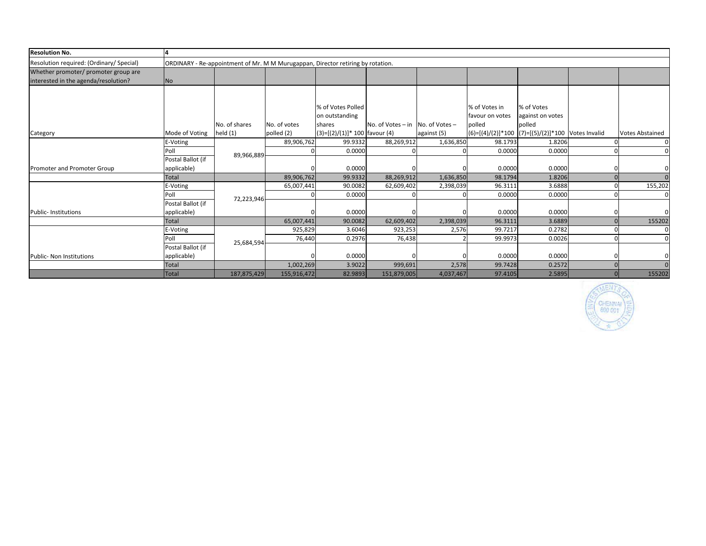| <b>Resolution No.</b>                    |                   |                                                                                 |              |                                |                                      |             |                 |                                                   |                        |
|------------------------------------------|-------------------|---------------------------------------------------------------------------------|--------------|--------------------------------|--------------------------------------|-------------|-----------------|---------------------------------------------------|------------------------|
| Resolution required: (Ordinary/ Special) |                   | ORDINARY - Re-appointment of Mr. M M Murugappan, Director retiring by rotation. |              |                                |                                      |             |                 |                                                   |                        |
| Whether promoter/ promoter group are     |                   |                                                                                 |              |                                |                                      |             |                 |                                                   |                        |
| interested in the agenda/resolution?     | <b>No</b>         |                                                                                 |              |                                |                                      |             |                 |                                                   |                        |
|                                          |                   |                                                                                 |              |                                |                                      |             |                 |                                                   |                        |
|                                          |                   |                                                                                 |              |                                |                                      |             |                 |                                                   |                        |
|                                          |                   |                                                                                 |              | % of Votes Polled              |                                      |             | % of Votes in   | % of Votes                                        |                        |
|                                          |                   |                                                                                 |              | on outstanding                 |                                      |             | favour on votes | against on votes                                  |                        |
|                                          |                   | No. of shares                                                                   | No. of votes | shares                         | No. of Votes $-$ in No. of Votes $-$ |             | polled          | polled                                            |                        |
| Category                                 | Mode of Voting    | held $(1)$                                                                      | polled (2)   | $(3)=[(2)/(1)]*100$ favour (4) |                                      | against (5) |                 | (6)=[(4)/(2)]*100 (7)=[(5)/(2)]*100 Votes Invalid | <b>Votes Abstained</b> |
|                                          | E-Voting          |                                                                                 | 89,906,762   | 99.9332                        | 88,269,912                           | 1,636,850   | 98.1793         | 1.8206                                            |                        |
|                                          | Poll              |                                                                                 |              | 0.0000                         |                                      |             | 0.0000          | 0.0000                                            |                        |
|                                          | Postal Ballot (if | 89,966,889                                                                      |              |                                |                                      |             |                 |                                                   |                        |
| Promoter and Promoter Group              | applicable)       |                                                                                 |              | 0.0000                         |                                      |             | 0.0000          | 0.0000                                            |                        |
|                                          | <b>Total</b>      |                                                                                 | 89,906,762   | 99.9332                        | 88,269,912                           | 1,636,850   | 98.1794         | 1.8206                                            | $\Omega$               |
|                                          | E-Voting          |                                                                                 | 65,007,441   | 90.0082                        | 62,609,402                           | 2,398,039   | 96.3111         | 3.6888                                            | 155,202                |
|                                          | Poll              |                                                                                 |              | 0.0000                         |                                      |             | 0.0000          | 0.0000                                            |                        |
|                                          | Postal Ballot (if | 72,223,946                                                                      |              |                                |                                      |             |                 |                                                   |                        |
| Public-Institutions                      | applicable)       |                                                                                 |              | 0.0000                         |                                      |             | 0.0000          | 0.0000                                            |                        |
|                                          | Total             |                                                                                 | 65,007,441   | 90.0082                        | 62,609,402                           | 2,398,039   | 96.3111         | 3.6889                                            | 155202                 |
|                                          | E-Voting          |                                                                                 | 925,829      | 3.6046                         | 923,253                              | 2,576       | 99.7217         | 0.2782                                            |                        |
|                                          | Poll              |                                                                                 | 76,440       | 0.2976                         | 76,438                               |             | 99.9973         | 0.0026                                            | $\Omega$               |
|                                          | Postal Ballot (if | 25,684,594                                                                      |              |                                |                                      |             |                 |                                                   |                        |
| Public- Non Institutions                 | applicable)       |                                                                                 |              | 0.0000                         |                                      |             | 0.0000          | 0.0000                                            |                        |
|                                          | <b>Total</b>      |                                                                                 | 1,002,269    | 3.9022                         | 999,691                              | 2,578       | 99.7428         | 0.2572                                            | $\overline{0}$         |
|                                          | Total             | 187,875,429                                                                     | 155,916,472  | 82.9893                        | 151,879,005                          | 4,037,467   | 97.4105         | 2.5895                                            | 155202                 |

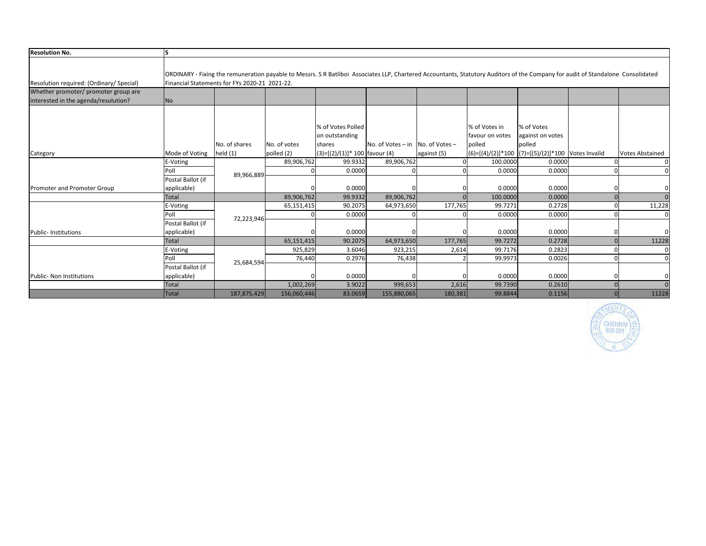| <b>Resolution No.</b>                                                        |                   |                                               |                                                                                                                                                                                  |                                     |                                      |             |                                  |                                                   |                        |
|------------------------------------------------------------------------------|-------------------|-----------------------------------------------|----------------------------------------------------------------------------------------------------------------------------------------------------------------------------------|-------------------------------------|--------------------------------------|-------------|----------------------------------|---------------------------------------------------|------------------------|
| Resolution required: (Ordinary/ Special)                                     |                   | Financial Statements for FYs 2020-21 2021-22. | ORDINARY - Fixing the remuneration payable to Messrs. S R Batliboi Associates LLP, Chartered Accountants, Statutory Auditors of the Company for audit of Standalone Consolidated |                                     |                                      |             |                                  |                                                   |                        |
| Whether promoter/ promoter group are<br>interested in the agenda/resolution? | <b>No</b>         |                                               |                                                                                                                                                                                  |                                     |                                      |             |                                  |                                                   |                        |
|                                                                              |                   |                                               |                                                                                                                                                                                  |                                     |                                      |             |                                  |                                                   |                        |
|                                                                              |                   |                                               |                                                                                                                                                                                  | % of Votes Polled<br>on outstanding |                                      |             | % of Votes in<br>favour on votes | % of Votes<br>against on votes                    |                        |
|                                                                              |                   | No. of shares                                 | No. of votes                                                                                                                                                                     | shares                              | No. of Votes $-$ in No. of Votes $-$ |             | polled                           | polled                                            |                        |
| Category                                                                     | Mode of Voting    | held (1)                                      | polled (2)                                                                                                                                                                       | $(3)=[(2)/(1)]*100$ favour (4)      |                                      | against (5) |                                  | (6)=[(4)/(2)]*100 (7)=[(5)/(2)]*100 Votes Invalid | <b>Votes Abstained</b> |
|                                                                              | E-Voting          |                                               | 89,906,762                                                                                                                                                                       | 99.9332                             | 89,906,762                           |             | 100.0000                         | 0.0000                                            | $\mathbf 0$            |
|                                                                              | Poll              |                                               |                                                                                                                                                                                  | 0.0000                              |                                      |             | 0.0000                           | 0.0000                                            | $\Omega$               |
|                                                                              | Postal Ballot (if | 89,966,889                                    |                                                                                                                                                                                  |                                     |                                      |             |                                  |                                                   |                        |
| Promoter and Promoter Group                                                  | applicable)       |                                               |                                                                                                                                                                                  | 0.0000                              |                                      |             | 0.0000                           | 0.0000                                            |                        |
|                                                                              | Total             |                                               | 89,906,762                                                                                                                                                                       | 99.9332                             | 89,906,762                           |             | 100.0000                         | 0.0000                                            | $\Omega$               |
|                                                                              | E-Voting          |                                               | 65,151,415                                                                                                                                                                       | 90.2075                             | 64,973,650                           | 177,765     | 99.7271                          | 0.2728                                            | 11,228                 |
|                                                                              | Poll              | 72,223,946                                    |                                                                                                                                                                                  | 0.0000                              |                                      |             | 0.0000                           | 0.0000                                            | $\Omega$               |
|                                                                              | Postal Ballot (if |                                               |                                                                                                                                                                                  |                                     |                                      |             |                                  |                                                   |                        |
| Public-Institutions                                                          | applicable)       |                                               |                                                                                                                                                                                  | 0.0000                              |                                      |             | 0.0000                           | 0.0000                                            | $\Omega$               |
|                                                                              | Total             |                                               | 65,151,415                                                                                                                                                                       | 90.2075                             | 64,973,650                           | 177,765     | 99.7272                          | 0.2728                                            | 11228                  |
|                                                                              | E-Voting          |                                               | 925,829                                                                                                                                                                          | 3.6046                              | 923,215                              | 2,614       | 99.7176                          | 0.2823                                            | $\Omega$               |
|                                                                              | Poll              | 25,684,594                                    | 76,440                                                                                                                                                                           | 0.2976                              | 76,438                               |             | 99.9973                          | 0.0026                                            | $\Omega$               |
|                                                                              | Postal Ballot (if |                                               |                                                                                                                                                                                  |                                     |                                      |             |                                  |                                                   |                        |
| <b>Public- Non Institutions</b>                                              | applicable)       |                                               |                                                                                                                                                                                  | 0.0000                              |                                      |             | 0.0000                           | 0.0000                                            | $\mathbf 0$            |
|                                                                              | <b>Total</b>      |                                               | 1,002,269                                                                                                                                                                        | 3.9022                              | 999,653                              | 2,616       | 99.7390                          | 0.2610                                            | $\Omega$               |
|                                                                              | <b>Total</b>      | 187,875,429                                   | 156,060,446                                                                                                                                                                      | 83.0659                             | 155,880,065                          | 180,381     | 99.8844                          | 0.1156                                            | 11228                  |

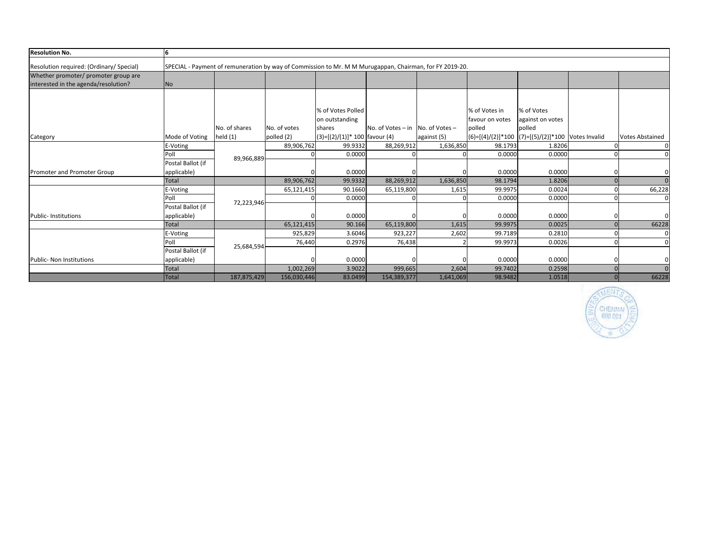| <b>Resolution No.</b>                                                        |                   |                                                                                                         |              |                                  |                                      |             |                           |                                                       |                        |
|------------------------------------------------------------------------------|-------------------|---------------------------------------------------------------------------------------------------------|--------------|----------------------------------|--------------------------------------|-------------|---------------------------|-------------------------------------------------------|------------------------|
| Resolution required: (Ordinary/ Special)                                     |                   | SPECIAL - Payment of remuneration by way of Commission to Mr. M M Murugappan, Chairman, for FY 2019-20. |              |                                  |                                      |             |                           |                                                       |                        |
| Whether promoter/ promoter group are<br>interested in the agenda/resolution? | No                |                                                                                                         |              |                                  |                                      |             |                           |                                                       |                        |
|                                                                              |                   |                                                                                                         |              |                                  |                                      |             |                           |                                                       |                        |
|                                                                              |                   |                                                                                                         |              | % of Votes Polled                |                                      |             | % of Votes in             | % of Votes                                            |                        |
|                                                                              |                   | No. of shares                                                                                           | No. of votes | on outstanding<br>shares         | No. of Votes $-$ in No. of Votes $-$ |             | favour on votes<br>polled | against on votes<br>polled                            |                        |
| Category                                                                     | Mode of Voting    | held $(1)$                                                                                              | polled (2)   | $(3)=[(2)/(1)]$ * 100 favour (4) |                                      | against (5) |                           | $(6)=[(4)/(2)]*100$ $(7)=[(5)/(2)]*100$ Votes Invalid | <b>Votes Abstained</b> |
|                                                                              | E-Voting          |                                                                                                         | 89,906,762   | 99.9332                          | 88,269,912                           | 1,636,850   | 98.1793                   | 1.8206                                                |                        |
|                                                                              | Poll              | 89,966,889                                                                                              |              | 0.0000                           |                                      |             | 0.0000                    | 0.0000                                                |                        |
|                                                                              | Postal Ballot (if |                                                                                                         |              |                                  |                                      |             |                           |                                                       |                        |
| Promoter and Promoter Group                                                  | applicable)       |                                                                                                         |              | 0.0000                           |                                      |             | 0.0000                    | 0.0000                                                |                        |
|                                                                              | <b>Total</b>      |                                                                                                         | 89,906,762   | 99.9332                          | 88,269,912                           | 1,636,850   | 98.1794                   | 1.8206                                                |                        |
|                                                                              | E-Voting          |                                                                                                         | 65,121,415   | 90.1660                          | 65,119,800                           | 1,615       | 99.9975                   | 0.0024                                                | 66,228                 |
|                                                                              | Poll              | 72,223,946                                                                                              |              | 0.0000                           |                                      |             | 0.0000                    | 0.0000                                                |                        |
|                                                                              | Postal Ballot (if |                                                                                                         |              |                                  |                                      |             |                           |                                                       |                        |
| Public-Institutions                                                          | applicable)       |                                                                                                         |              | 0.0000                           |                                      |             | 0.0000                    | 0.0000                                                |                        |
|                                                                              | <b>Total</b>      |                                                                                                         | 65,121,415   | 90.166                           | 65,119,800                           | 1,615       | 99.9975                   | 0.0025                                                | 66228                  |
|                                                                              | E-Voting          |                                                                                                         | 925,829      | 3.6046                           | 923,227                              | 2,602       | 99.7189                   | 0.2810                                                |                        |
|                                                                              | Poll              | 25,684,594                                                                                              | 76,440       | 0.2976                           | 76,438                               |             | 99.9973                   | 0.0026                                                |                        |
|                                                                              | Postal Ballot (if |                                                                                                         |              |                                  |                                      |             |                           |                                                       |                        |
| <b>Public- Non Institutions</b>                                              | applicable)       |                                                                                                         |              | 0.0000                           |                                      |             | 0.0000                    | 0.0000                                                |                        |
|                                                                              | <b>Total</b>      |                                                                                                         | 1,002,269    | 3.9022                           | 999,665                              | 2,604       | 99.7402                   | 0.2598                                                |                        |
|                                                                              | <b>Total</b>      | 187,875,429                                                                                             | 156,030,446  | 83.0499                          | 154,389,377                          | 1,641,069   | 98.9482                   | 1.0518                                                | 66228                  |